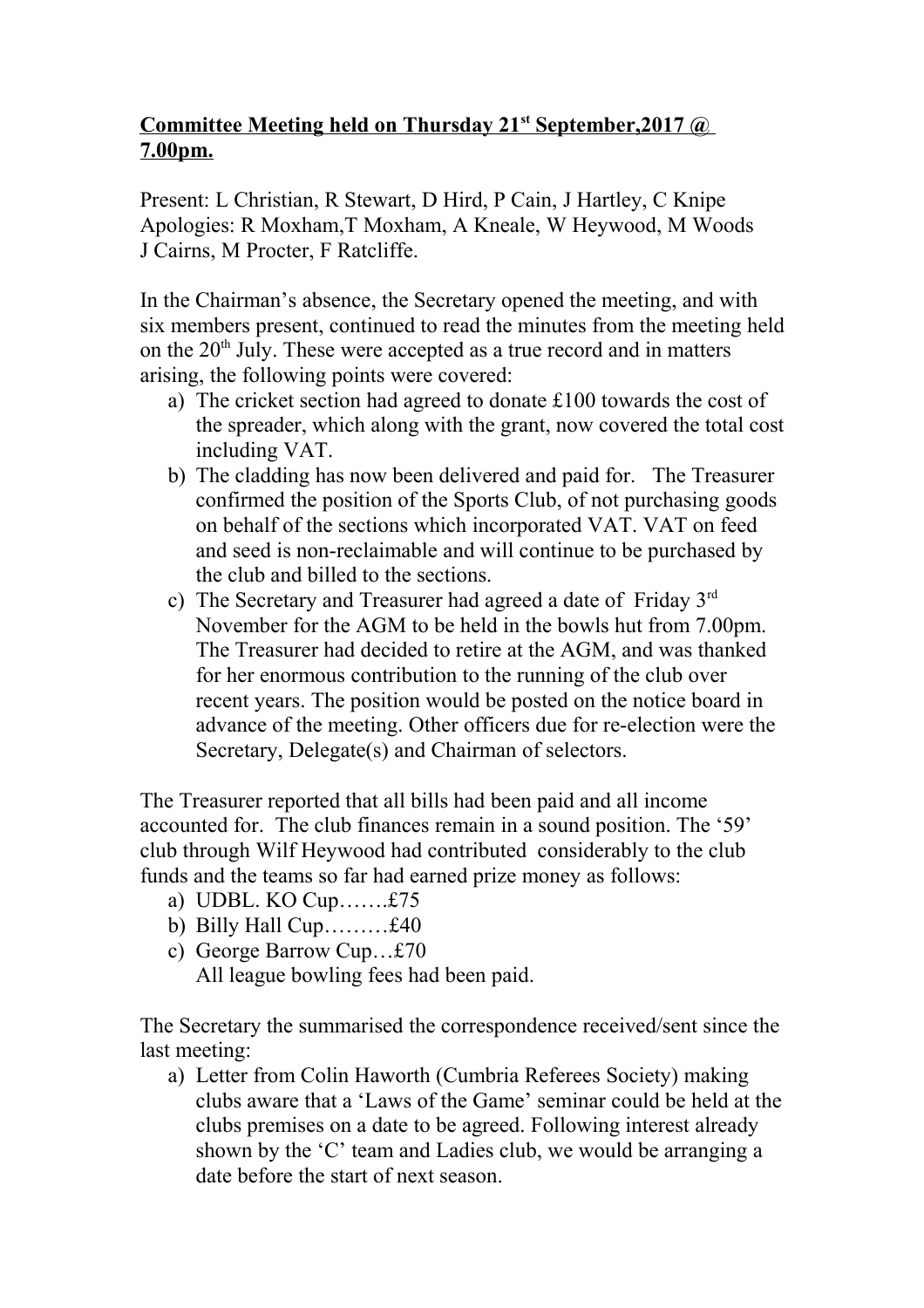## **Committee Meeting held on Thursday 21st September, 2017 @ 7.00pm.**

Present: L Christian, R Stewart, D Hird, P Cain, J Hartley, C Knipe Apologies: R Moxham,T Moxham, A Kneale, W Heywood, M Woods J Cairns, M Procter, F Ratcliffe.

In the Chairman's absence, the Secretary opened the meeting, and with six members present, continued to read the minutes from the meeting held on the  $20<sup>th</sup>$  July. These were accepted as a true record and in matters arising, the following points were covered:

- a) The cricket section had agreed to donate £100 towards the cost of the spreader, which along with the grant, now covered the total cost including VAT.
- b) The cladding has now been delivered and paid for. The Treasurer confirmed the position of the Sports Club, of not purchasing goods on behalf of the sections which incorporated VAT. VAT on feed and seed is non-reclaimable and will continue to be purchased by the club and billed to the sections.
- c) The Secretary and Treasurer had agreed a date of Friday 3rd November for the AGM to be held in the bowls hut from 7.00pm. The Treasurer had decided to retire at the AGM, and was thanked for her enormous contribution to the running of the club over recent years. The position would be posted on the notice board in advance of the meeting. Other officers due for re-election were the Secretary, Delegate(s) and Chairman of selectors.

The Treasurer reported that all bills had been paid and all income accounted for. The club finances remain in a sound position. The '59' club through Wilf Heywood had contributed considerably to the club funds and the teams so far had earned prize money as follows:

- a) UDBL. KO Cup…….£75
- b) Billy Hall Cup... $\dots$ . $£40$
- c) George Barrow Cup…£70 All league bowling fees had been paid.

The Secretary the summarised the correspondence received/sent since the last meeting:

a) Letter from Colin Haworth (Cumbria Referees Society) making clubs aware that a 'Laws of the Game' seminar could be held at the clubs premises on a date to be agreed. Following interest already shown by the 'C' team and Ladies club, we would be arranging a date before the start of next season.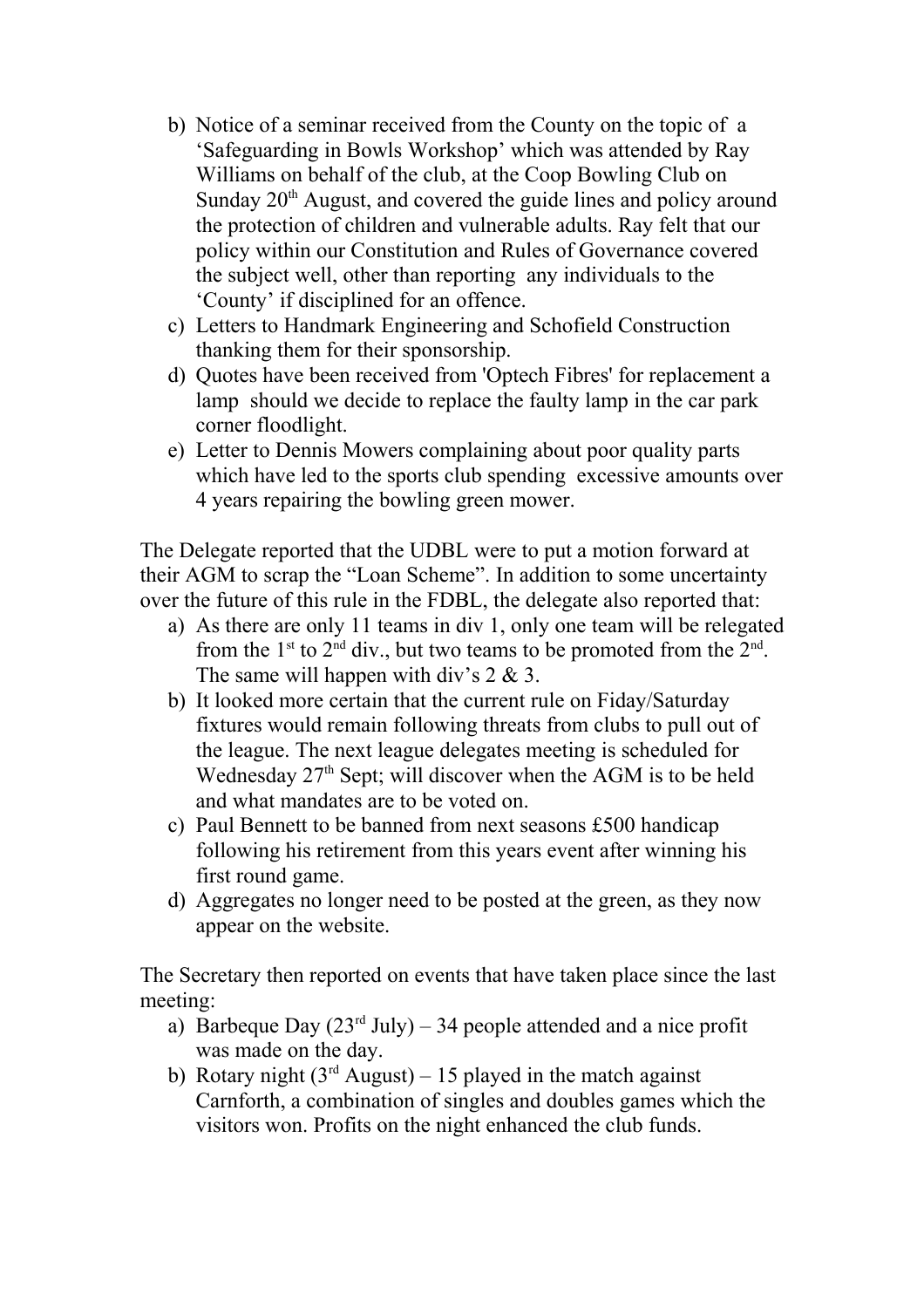- b) Notice of a seminar received from the County on the topic of a 'Safeguarding in Bowls Workshop' which was attended by Ray Williams on behalf of the club, at the Coop Bowling Club on Sunday  $20<sup>th</sup>$  August, and covered the guide lines and policy around the protection of children and vulnerable adults. Ray felt that our policy within our Constitution and Rules of Governance covered the subject well, other than reporting any individuals to the 'County' if disciplined for an offence.
- c) Letters to Handmark Engineering and Schofield Construction thanking them for their sponsorship.
- d) Quotes have been received from 'Optech Fibres' for replacement a lamp should we decide to replace the faulty lamp in the car park corner floodlight.
- e) Letter to Dennis Mowers complaining about poor quality parts which have led to the sports club spending excessive amounts over 4 years repairing the bowling green mower.

The Delegate reported that the UDBL were to put a motion forward at their AGM to scrap the "Loan Scheme". In addition to some uncertainty over the future of this rule in the FDBL, the delegate also reported that:

- a) As there are only 11 teams in div 1, only one team will be relegated from the  $1^{\text{st}}$  to  $2^{\text{nd}}$  div., but two teams to be promoted from the  $2^{\text{nd}}$ . The same will happen with div's 2 & 3.
- b) It looked more certain that the current rule on Fiday/Saturday fixtures would remain following threats from clubs to pull out of the league. The next league delegates meeting is scheduled for Wednesday  $27<sup>th</sup>$  Sept; will discover when the AGM is to be held and what mandates are to be voted on.
- c) Paul Bennett to be banned from next seasons £500 handicap following his retirement from this years event after winning his first round game.
- d) Aggregates no longer need to be posted at the green, as they now appear on the website.

The Secretary then reported on events that have taken place since the last meeting:

- a) Barbeque Day  $(23^{rd}$  July) 34 people attended and a nice profit was made on the day.
- b) Rotary night  $(3<sup>rd</sup> August) 15$  played in the match against Carnforth, a combination of singles and doubles games which the visitors won. Profits on the night enhanced the club funds.